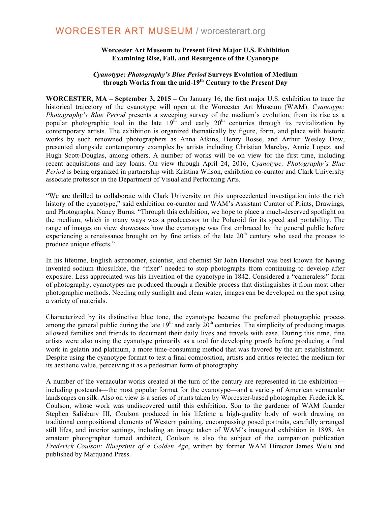## **WORCESTER ART MUSEUM / worcesterart.org**

#### **Worcester Art Museum to Present First Major U.S. Exhibition Examining Rise, Fall, and Resurgence of the Cyanotype**

### *Cyanotype: Photography's Blue Period* **Surveys Evolution of Medium through Works from the mid-19th Century to the Present Day**

**WORCESTER, MA – September 3, 2015 –** On January 16, the first major U.S. exhibition to trace the historical trajectory of the cyanotype will open at the Worcester Art Museum (WAM). *Cyanotype: Photography's Blue Period* presents a sweeping survey of the medium's evolution, from its rise as a popular photographic tool in the late  $19<sup>th</sup>$  and early  $20<sup>th</sup>$  centuries through its revitalization by contemporary artists. The exhibition is organized thematically by figure, form, and place with historic works by such renowned photographers as Anna Atkins, Henry Bosse, and Arthur Wesley Dow, presented alongside contemporary examples by artists including Christian Marclay, Annie Lopez, and Hugh Scott-Douglas, among others. A number of works will be on view for the first time, including recent acquisitions and key loans. On view through April 24, 2016, *Cyanotype: Photography's Blue Period* is being organized in partnership with Kristina Wilson, exhibition co-curator and Clark University associate professor in the Department of Visual and Performing Arts.

"We are thrilled to collaborate with Clark University on this unprecedented investigation into the rich history of the cyanotype," said exhibition co-curator and WAM's Assistant Curator of Prints, Drawings, and Photographs, Nancy Burns. "Through this exhibition, we hope to place a much-deserved spotlight on the medium, which in many ways was a predecessor to the Polaroid for its speed and portability. The range of images on view showcases how the cyanotype was first embraced by the general public before experiencing a renaissance brought on by fine artists of the late  $20<sup>th</sup>$  century who used the process to produce unique effects."

In his lifetime, English astronomer, scientist, and chemist Sir John Herschel was best known for having invented sodium thiosulfate, the "fixer" needed to stop photographs from continuing to develop after exposure. Less appreciated was his invention of the cyanotype in 1842. Considered a "cameraless" form of photography, cyanotypes are produced through a flexible process that distinguishes it from most other photographic methods. Needing only sunlight and clean water, images can be developed on the spot using a variety of materials.

Characterized by its distinctive blue tone, the cyanotype became the preferred photographic process among the general public during the late  $19<sup>th</sup>$  and early  $20<sup>th</sup>$  centuries. The simplicity of producing images allowed families and friends to document their daily lives and travels with ease. During this time, fine artists were also using the cyanotype primarily as a tool for developing proofs before producing a final work in gelatin and platinum, a more time-consuming method that was favored by the art establishment. Despite using the cyanotype format to test a final composition, artists and critics rejected the medium for its aesthetic value, perceiving it as a pedestrian form of photography.

A number of the vernacular works created at the turn of the century are represented in the exhibition including postcards—the most popular format for the cyanotype—and a variety of American vernacular landscapes on silk. Also on view is a series of prints taken by Worcester-based photographer Frederick K. Coulson, whose work was undiscovered until this exhibition. Son to the gardener of WAM founder Stephen Salisbury III, Coulson produced in his lifetime a high-quality body of work drawing on traditional compositional elements of Western painting, encompassing posed portraits, carefully arranged still lifes, and interior settings, including an image taken of WAM's inaugural exhibition in 1898. An amateur photographer turned architect, Coulson is also the subject of the companion publication *Frederick Coulson: Blueprints of a Golden Age*, written by former WAM Director James Welu and published by Marquand Press.